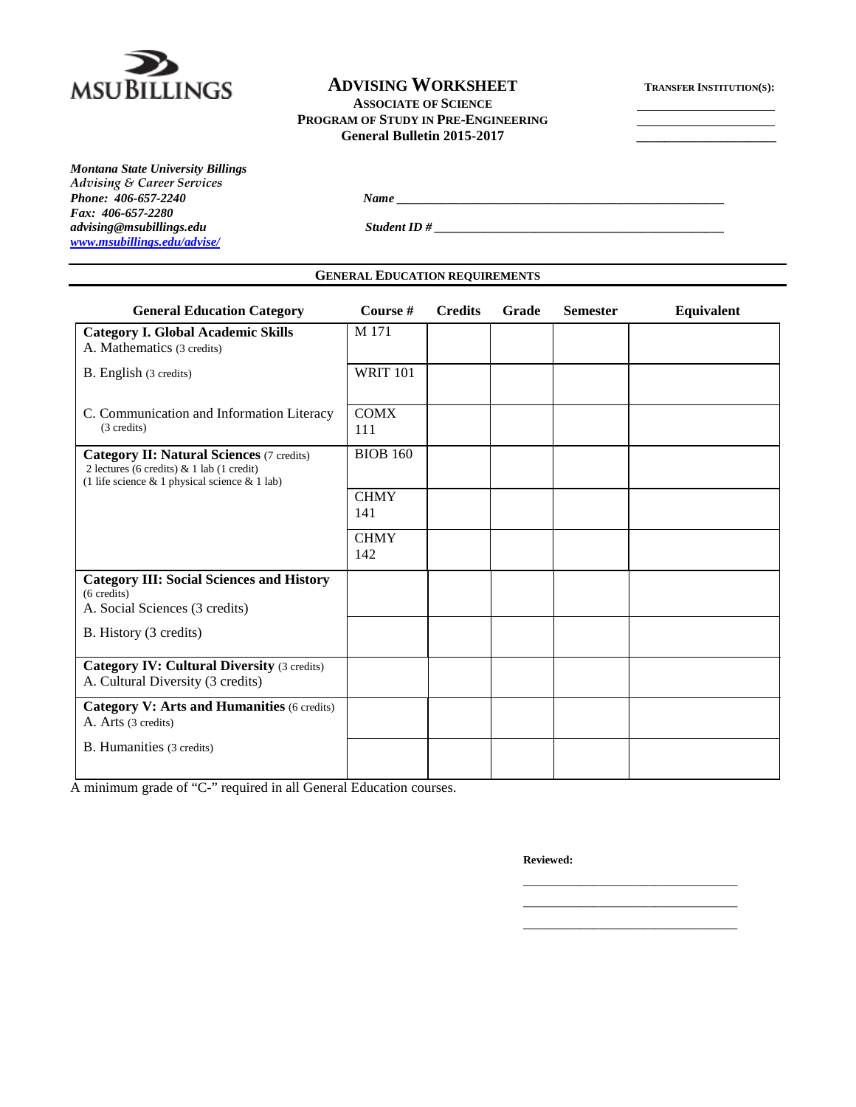

### **ADVISING WORKSHEET TRANSFER INSTITUTION(S):**

**ASSOCIATE OF SCIENCE PROGRAM OF STUDY IN PRE-ENGINEERING**

**General Bulletin 2015-2017 \_\_\_\_\_\_\_\_\_\_\_\_\_\_\_\_\_\_\_\_**

*Montana State University Billings Advising & Career Services Fax: 406-657-2280 [www.msubillings.edu/advise/](http://www.msubillings.edu/advise/)*

*Phone: 406-657-2240 Name \_\_\_\_\_\_\_\_\_\_\_\_\_\_\_\_\_\_\_\_\_\_\_\_\_\_\_\_\_\_\_\_\_\_\_\_\_\_\_\_\_\_\_\_\_\_\_\_\_\_\_\_*

*advising@msubillings.edu Student ID # \_\_\_\_\_\_\_\_\_\_\_\_\_\_\_\_\_\_\_\_\_\_\_\_\_\_\_\_\_\_\_\_\_\_\_\_\_\_\_\_\_\_\_\_\_\_*

# **GENERAL EDUCATION REQUIREMENTS**

| <b>General Education Category</b>                                                                                                                  | Course #           | <b>Credits</b> | Grade | <b>Semester</b> | Equivalent |
|----------------------------------------------------------------------------------------------------------------------------------------------------|--------------------|----------------|-------|-----------------|------------|
| <b>Category I. Global Academic Skills</b><br>A. Mathematics (3 credits)                                                                            | M 171              |                |       |                 |            |
| B. English (3 credits)                                                                                                                             | <b>WRIT 101</b>    |                |       |                 |            |
| C. Communication and Information Literacy<br>(3 credits)                                                                                           | <b>COMX</b><br>111 |                |       |                 |            |
| <b>Category II: Natural Sciences (7 credits)</b><br>2 lectures (6 credits) & 1 lab (1 credit)<br>(1 life science $& 1$ physical science $& 1$ lab) | <b>BIOB 160</b>    |                |       |                 |            |
|                                                                                                                                                    | <b>CHMY</b><br>141 |                |       |                 |            |
|                                                                                                                                                    | <b>CHMY</b><br>142 |                |       |                 |            |
| <b>Category III: Social Sciences and History</b><br>(6 credits)<br>A. Social Sciences (3 credits)                                                  |                    |                |       |                 |            |
| B. History (3 credits)                                                                                                                             |                    |                |       |                 |            |
| <b>Category IV: Cultural Diversity (3 credits)</b><br>A. Cultural Diversity (3 credits)                                                            |                    |                |       |                 |            |
| <b>Category V: Arts and Humanities (6 credits)</b><br>A. Arts (3 credits)                                                                          |                    |                |       |                 |            |
| B. Humanities (3 credits)                                                                                                                          |                    |                |       |                 |            |

A minimum grade of "C-" required in all General Education courses.

**Reviewed:**

\_\_\_\_\_\_\_\_\_\_\_\_\_\_\_\_\_\_\_\_\_\_\_\_\_\_\_\_\_\_\_\_\_\_ \_\_\_\_\_\_\_\_\_\_\_\_\_\_\_\_\_\_\_\_\_\_\_\_\_\_\_\_\_\_\_\_\_\_ \_\_\_\_\_\_\_\_\_\_\_\_\_\_\_\_\_\_\_\_\_\_\_\_\_\_\_\_\_\_\_\_\_\_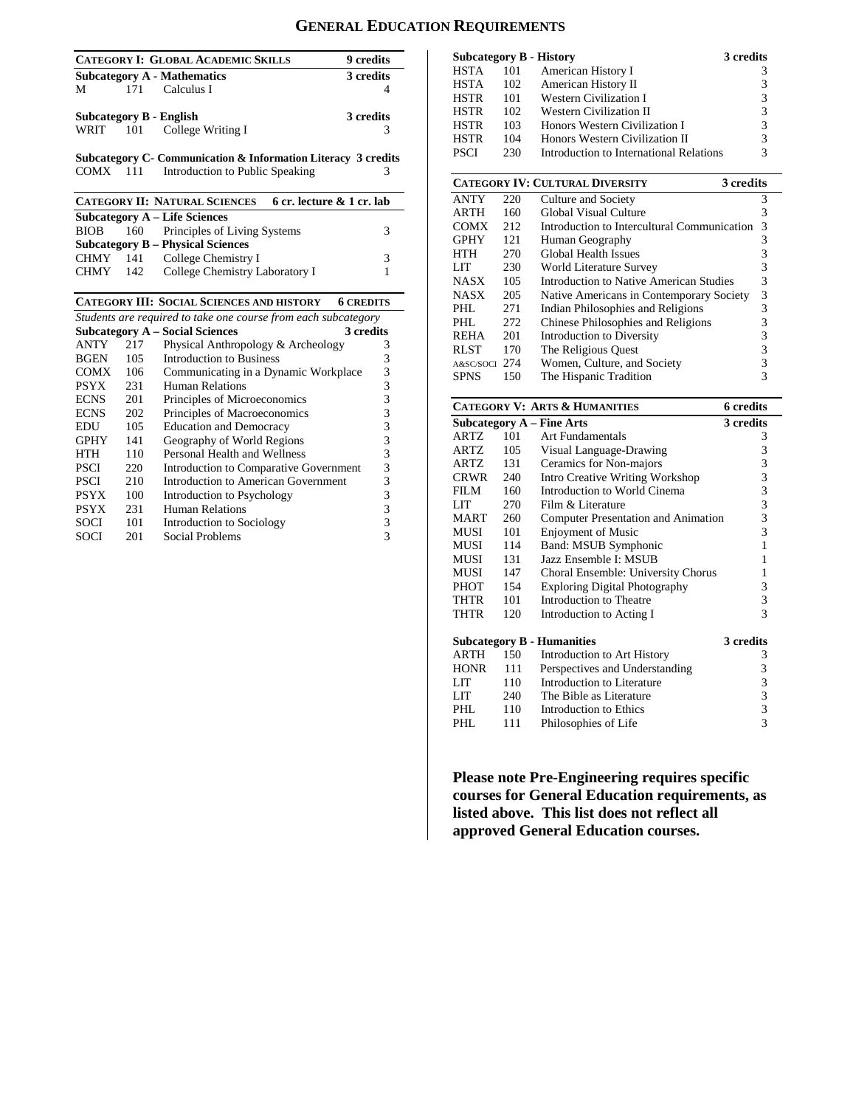#### **GENERAL EDUCATION REQUIREMENTS**

|      |                                    | <b>CATEGORY I: GLOBAL ACADEMIC SKILLS</b> | 9 credits |
|------|------------------------------------|-------------------------------------------|-----------|
|      | <b>Subcategory A - Mathematics</b> | 3 credits                                 |           |
| M    | 171                                | Calculus I                                |           |
|      | Subcategory B - English            | 3 credits                                 |           |
| WRIT |                                    | 101 College Writing I                     |           |

**Subcategory C- Communication & Information Literacy 3 credits**<br>COMX 111 Introduction to Public Speaking 3 COMX 111 Introduction to Public Speaking

|             |     | <b>CATEGORY II: NATURAL SCIENCES</b>     | 6 cr. lecture & 1 cr. lab |  |
|-------------|-----|------------------------------------------|---------------------------|--|
|             |     | <b>Subcategory A – Life Sciences</b>     |                           |  |
| BIOB        |     | 160 Principles of Living Systems         |                           |  |
|             |     | <b>Subcategory B – Physical Sciences</b> |                           |  |
| CHMY        |     | 141 College Chemistry I                  | 3                         |  |
| <b>CHMY</b> | 142 | College Chemistry Laboratory I           |                           |  |

#### **CATEGORY III: SOCIAL SCIENCES AND HISTORY 6 CREDITS**

| Students are required to take one course from each subcategory |     |                                        |           |  |
|----------------------------------------------------------------|-----|----------------------------------------|-----------|--|
|                                                                |     | <b>Subcategory A – Social Sciences</b> | 3 credits |  |
| <b>ANTY</b>                                                    | 217 | Physical Anthropology & Archeology     | 3         |  |
| <b>BGEN</b>                                                    | 105 | Introduction to Business               | 3         |  |
| <b>COMX</b>                                                    | 106 | Communicating in a Dynamic Workplace   | 3         |  |
| <b>PSYX</b>                                                    | 231 | Human Relations                        | 3         |  |
| <b>ECNS</b>                                                    | 201 | Principles of Microeconomics           | 3         |  |
| <b>ECNS</b>                                                    | 202 | Principles of Macroeconomics           | 3         |  |
| EDU                                                            | 105 | <b>Education and Democracy</b>         | 3         |  |
| <b>GPHY</b>                                                    | 141 | Geography of World Regions             | 3         |  |
| HTH                                                            | 110 | Personal Health and Wellness           | 3         |  |
| PSCI                                                           | 220 | Introduction to Comparative Government | 3         |  |
| PSCI                                                           | 210 | Introduction to American Government    | 3         |  |
| <b>PSYX</b>                                                    | 100 | Introduction to Psychology             | 3         |  |
| <b>PSYX</b>                                                    | 231 | Human Relations                        | 3         |  |
| <b>SOCI</b>                                                    | 101 | Introduction to Sociology              | 3         |  |
| SOCI                                                           | 201 | Social Problems                        | 3         |  |

|             |     | <b>Subcategory B - History</b>          | 3 credits |
|-------------|-----|-----------------------------------------|-----------|
| <b>HSTA</b> | 101 | American History I                      |           |
| <b>HSTA</b> | 102 | American History II                     | 3         |
| <b>HSTR</b> | 101 | <b>Western Civilization I</b>           | 3         |
| <b>HSTR</b> | 102 | Western Civilization II                 | 3         |
| <b>HSTR</b> | 103 | Honors Western Civilization I           | 3         |
| <b>HSTR</b> | 104 | Honors Western Civilization II          | 3         |
| <b>PSCI</b> | 230 | Introduction to International Relations | 3         |

|             |     | <b>CATEGORY IV: CULTURAL DIVERSITY</b>      | 3 credits |
|-------------|-----|---------------------------------------------|-----------|
| <b>ANTY</b> | 220 | Culture and Society                         | 3         |
| <b>ARTH</b> | 160 | Global Visual Culture                       | 3         |
| <b>COMX</b> | 212 | Introduction to Intercultural Communication | 3         |
| <b>GPHY</b> | 121 | Human Geography                             | 3         |
| <b>HTH</b>  | 270 | Global Health Issues                        | 3         |
| LIT         | 230 | World Literature Survey                     | 3         |
| <b>NASX</b> | 105 | Introduction to Native American Studies     | 3         |
| <b>NASX</b> | 205 | Native Americans in Contemporary Society    | 3         |
| PHL         | 271 | Indian Philosophies and Religions           | 3         |
| PHL         | 272 | Chinese Philosophies and Religions          | 3         |
| <b>REHA</b> | 201 | Introduction to Diversity                   | 3         |
| <b>RLST</b> | 170 | The Religious Ouest                         | 3         |
| A&SC/SOCI   | 274 | Women, Culture, and Society                 |           |
| <b>SPNS</b> | 150 | The Hispanic Tradition                      | 3         |

#### **CATEGORY V: ARTS & HUMANITIES 6 credits**

|             |     | <i>HAAD</i> & HORES                    |           |
|-------------|-----|----------------------------------------|-----------|
|             |     | <b>Subcategory A - Fine Arts</b>       | 3 credits |
| <b>ARTZ</b> | 101 | <b>Art Fundamentals</b>                | 3         |
| ARTZ        | 105 | Visual Language-Drawing                | 3         |
| ARTZ        | 131 | Ceramics for Non-majors                | 3         |
| CRWR        | 240 | <b>Intro Creative Writing Workshop</b> | 3         |
| FILM        | 160 | Introduction to World Cinema           | 3         |
| LIT         | 270 | Film & Literature                      | 3         |
| <b>MART</b> | 260 | Computer Presentation and Animation    | 3         |
| MUSI        | 101 | <b>Enjoyment of Music</b>              | 3         |
| MUSI        | 114 | <b>Band: MSUB Symphonic</b>            | 1         |
| MUSI        | 131 | Jazz Ensemble I: MSUB                  | 1         |
| MUSI        | 147 | Choral Ensemble: University Chorus     | 1         |
| PHOT        | 154 | <b>Exploring Digital Photography</b>   | 3         |
| THTR        | 101 | Introduction to Theatre                | 3         |
| THTR        | 120 | Introduction to Acting I               | 3         |
|             |     | <b>Subcategory B - Humanities</b>      | 3 credits |
| ARTH        | 150 | Introduction to Art History            | 3         |
| <b>HONR</b> | 111 | Perspectives and Understanding         | 3         |
| LIT         | 110 | Introduction to Literature             | 3         |
| LIT -       | 240 | The Bible as Literature                | 3         |
| PHL         | 110 | Introduction to Ethics                 | 3         |
| PHL         | 111 | Philosophies of Life                   | 3         |

**Please note Pre-Engineering requires specific courses for General Education requirements, as listed above. This list does not reflect all approved General Education courses.**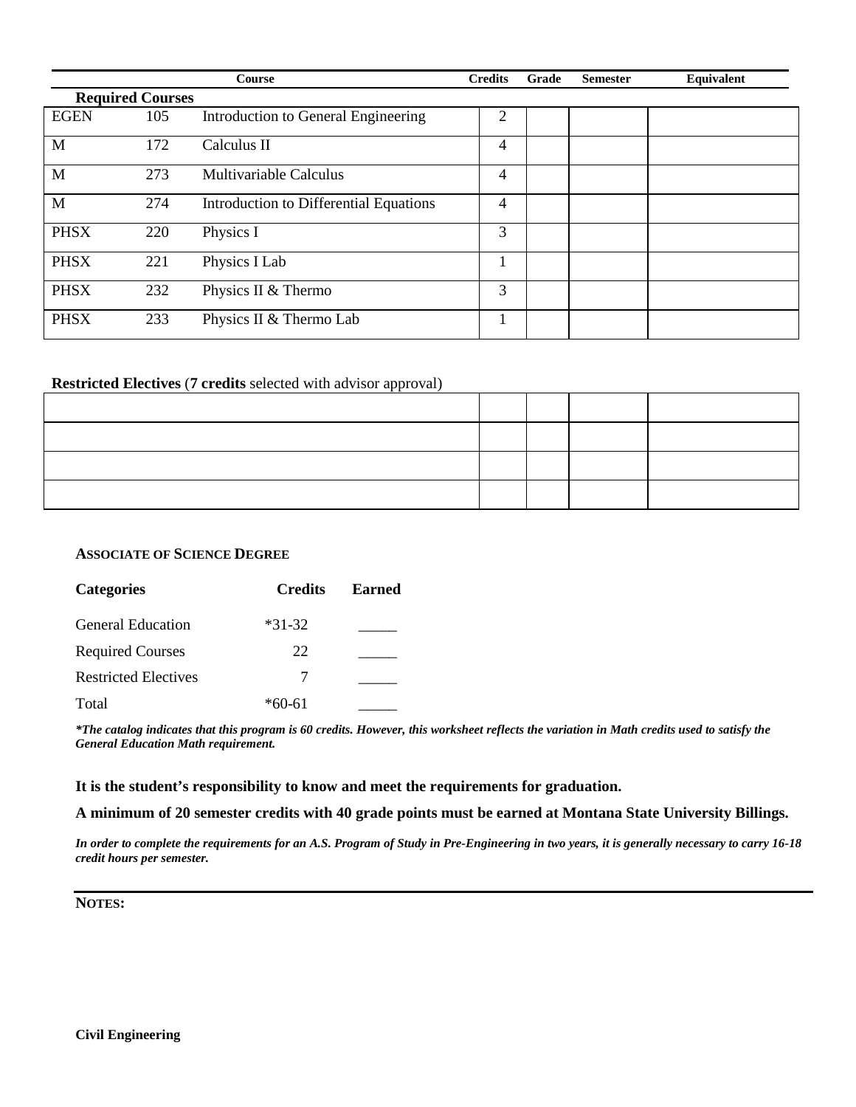|             |                         | Course                                 | <b>Credits</b> | Grade | <b>Semester</b> | Equivalent |
|-------------|-------------------------|----------------------------------------|----------------|-------|-----------------|------------|
|             | <b>Required Courses</b> |                                        |                |       |                 |            |
| <b>EGEN</b> | 105                     | Introduction to General Engineering    | 2              |       |                 |            |
| M           | 172                     | Calculus II                            | 4              |       |                 |            |
| M           | 273                     | Multivariable Calculus                 | 4              |       |                 |            |
| M           | 274                     | Introduction to Differential Equations | 4              |       |                 |            |
| <b>PHSX</b> | 220                     | Physics I                              | 3              |       |                 |            |
| <b>PHSX</b> | 221                     | Physics I Lab                          |                |       |                 |            |
| <b>PHSX</b> | 232                     | Physics II & Thermo                    | 3              |       |                 |            |
| <b>PHSX</b> | 233                     | Physics II & Thermo Lab                |                |       |                 |            |

#### **Restricted Electives** (**7 credits** selected with advisor approval)

#### **ASSOCIATE OF SCIENCE DEGREE**

| <b>Categories</b>           | <b>Credits</b> | <b>Earned</b> |
|-----------------------------|----------------|---------------|
| <b>General Education</b>    | $*31-32$       |               |
| <b>Required Courses</b>     | 22             |               |
| <b>Restricted Electives</b> |                |               |
| Total                       | $*60-61$       |               |

*\*The catalog indicates that this program is 60 credits. However, this worksheet reflects the variation in Math credits used to satisfy the General Education Math requirement.*

#### **It is the student's responsibility to know and meet the requirements for graduation.**

**A minimum of 20 semester credits with 40 grade points must be earned at Montana State University Billings.**

*In order to complete the requirements for an A.S. Program of Study in Pre-Engineering in two years, it is generally necessary to carry 16-18 credit hours per semester.* 

**NOTES:**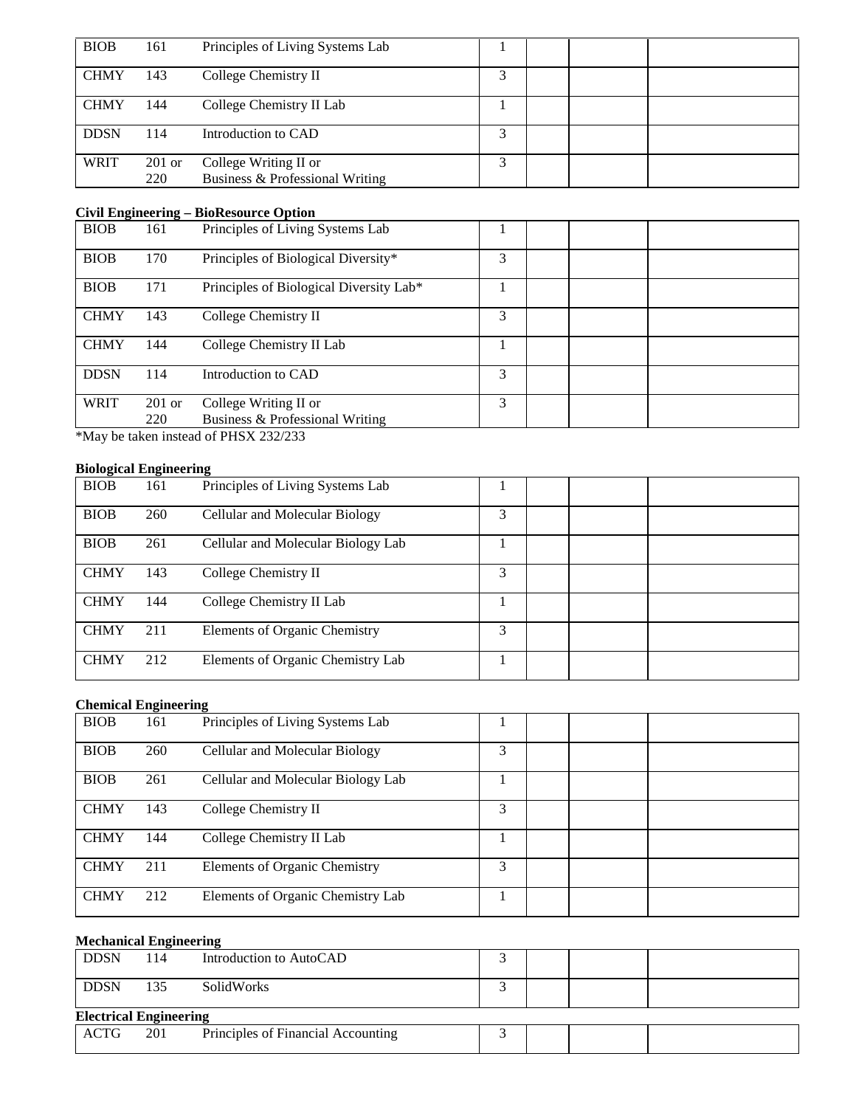| <b>BIOB</b> | 161             | Principles of Living Systems Lab                         |   |  |  |
|-------------|-----------------|----------------------------------------------------------|---|--|--|
| <b>CHMY</b> | 143             | College Chemistry II                                     |   |  |  |
| <b>CHMY</b> | 144             | College Chemistry II Lab                                 |   |  |  |
| <b>DDSN</b> | 114             | Introduction to CAD                                      |   |  |  |
| <b>WRIT</b> | $201$ or<br>220 | College Writing II or<br>Business & Professional Writing | ⌒ |  |  |

#### **Civil Engineering – BioResource Option**

| -           |          |                                         |   |  |
|-------------|----------|-----------------------------------------|---|--|
| <b>BIOB</b> | 161      | Principles of Living Systems Lab        |   |  |
| <b>BIOB</b> | 170      | Principles of Biological Diversity*     | 3 |  |
| <b>BIOB</b> | 171      | Principles of Biological Diversity Lab* |   |  |
| <b>CHMY</b> | 143      | College Chemistry II                    | 3 |  |
| <b>CHMY</b> | 144      | College Chemistry II Lab                |   |  |
| <b>DDSN</b> | 114      | Introduction to CAD                     | 3 |  |
| <b>WRIT</b> | $201$ or | College Writing II or                   | 3 |  |
|             | 220      | Business & Professional Writing         |   |  |
|             |          |                                         |   |  |

\*May be taken instead of PHSX 232/233

#### **Biological Engineering**

| $\cdots$    |     |                                      |   |  |
|-------------|-----|--------------------------------------|---|--|
| <b>BIOB</b> | 161 | Principles of Living Systems Lab     |   |  |
| <b>BIOB</b> | 260 | Cellular and Molecular Biology       | 3 |  |
| <b>BIOB</b> | 261 | Cellular and Molecular Biology Lab   |   |  |
| <b>CHMY</b> | 143 | College Chemistry II                 | 3 |  |
| <b>CHMY</b> | 144 | College Chemistry II Lab             |   |  |
| <b>CHMY</b> | 211 | <b>Elements of Organic Chemistry</b> | 3 |  |
| <b>CHMY</b> | 212 | Elements of Organic Chemistry Lab    |   |  |

#### **Chemical Engineering**

| <b>BIOB</b> | 161 | Principles of Living Systems Lab     |   |  |
|-------------|-----|--------------------------------------|---|--|
| <b>BIOB</b> | 260 | Cellular and Molecular Biology       | 3 |  |
| <b>BIOB</b> | 261 | Cellular and Molecular Biology Lab   |   |  |
| <b>CHMY</b> | 143 | College Chemistry II                 | 3 |  |
| <b>CHMY</b> | 144 | College Chemistry II Lab             |   |  |
| <b>CHMY</b> | 211 | <b>Elements of Organic Chemistry</b> | 3 |  |
| <b>CHMY</b> | 212 | Elements of Organic Chemistry Lab    |   |  |

#### **Mechanical Engineering**

| <b>DDSN</b>                   | 114 | Introduction to AutoCAD            |  |  |
|-------------------------------|-----|------------------------------------|--|--|
| <b>DDSN</b>                   | 135 | SolidWorks                         |  |  |
| <b>Electrical Engineering</b> |     |                                    |  |  |
| ACTG                          | 201 | Principles of Financial Accounting |  |  |